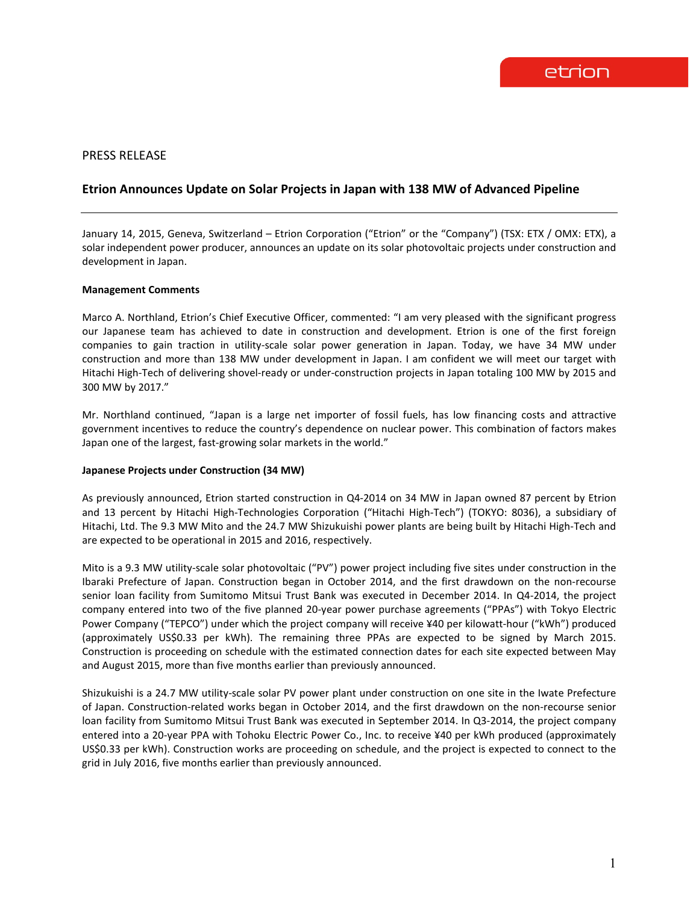# PRESS RELEASE

# **Etrion Announces Update on Solar Projects in Japan with 138 MW of Advanced Pipeline**

January 14, 2015, Geneva, Switzerland – Etrion Corporation ("Etrion" or the "Company") (TSX: ETX / OMX: ETX), a solar independent power producer, announces an update on its solar photovoltaic projects under construction and development in Japan.

#### **Management Comments**

Marco A. Northland, Etrion's Chief Executive Officer, commented: "I am very pleased with the significant progress our Japanese team has achieved to date in construction and development. Etrion is one of the first foreign companies to gain traction in utility-scale solar power generation in Japan. Today, we have 34 MW under construction and more than 138 MW under development in Japan. I am confident we will meet our target with Hitachi High-Tech of delivering shovel-ready or under-construction projects in Japan totaling 100 MW by 2015 and 300 MW by 2017."

Mr. Northland continued, "Japan is a large net importer of fossil fuels, has low financing costs and attractive government incentives to reduce the country's dependence on nuclear power. This combination of factors makes Japan one of the largest, fast-growing solar markets in the world."

#### **Japanese Projects under Construction (34 MW)**

As previously announced, Etrion started construction in Q4-2014 on 34 MW in Japan owned 87 percent by Etrion and 13 percent by Hitachi High-Technologies Corporation ("Hitachi High-Tech") (TOKYO: 8036), a subsidiary of Hitachi, Ltd. The 9.3 MW Mito and the 24.7 MW Shizukuishi power plants are being built by Hitachi High-Tech and are expected to be operational in 2015 and 2016, respectively.

Mito is a 9.3 MW utility-scale solar photovoltaic ("PV") power project including five sites under construction in the Ibaraki Prefecture of Japan. Construction began in October 2014, and the first drawdown on the non-recourse senior loan facility from Sumitomo Mitsui Trust Bank was executed in December 2014. In Q4-2014, the project company entered into two of the five planned 20-year power purchase agreements ("PPAs") with Tokyo Electric Power Company ("TEPCO") under which the project company will receive ¥40 per kilowatt-hour ("kWh") produced (approximately US\$0.33 per kWh). The remaining three PPAs are expected to be signed by March 2015. Construction is proceeding on schedule with the estimated connection dates for each site expected between May and August 2015, more than five months earlier than previously announced.

Shizukuishi is a 24.7 MW utility-scale solar PV power plant under construction on one site in the Iwate Prefecture of Japan. Construction-related works began in October 2014, and the first drawdown on the non-recourse senior loan facility from Sumitomo Mitsui Trust Bank was executed in September 2014. In Q3-2014, the project company entered into a 20-year PPA with Tohoku Electric Power Co., Inc. to receive ¥40 per kWh produced (approximately US\$0.33 per kWh). Construction works are proceeding on schedule, and the project is expected to connect to the grid in July 2016, five months earlier than previously announced.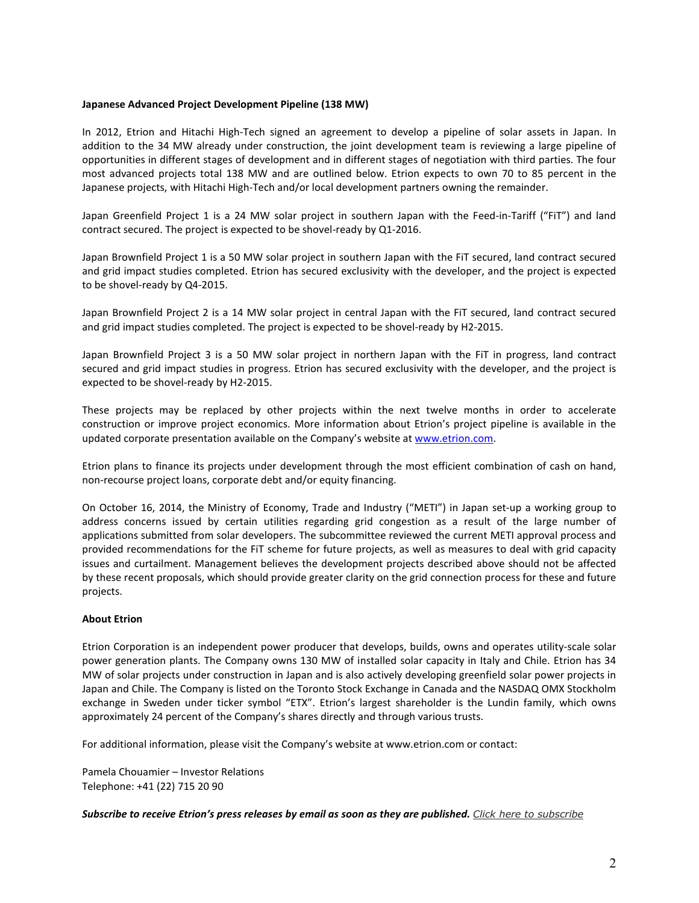## **Japanese Advanced Project Development Pipeline (138 MW)**

In 2012, Etrion and Hitachi High-Tech signed an agreement to develop a pipeline of solar assets in Japan. In addition to the 34 MW already under construction, the joint development team is reviewing a large pipeline of opportunities in different stages of development and in different stages of negotiation with third parties. The four most advanced projects total 138 MW and are outlined below. Etrion expects to own 70 to 85 percent in the Japanese projects, with Hitachi High-Tech and/or local development partners owning the remainder.

Japan Greenfield Project 1 is a 24 MW solar project in southern Japan with the Feed-in-Tariff ("FiT") and land contract secured. The project is expected to be shovel-ready by Q1-2016.

Japan Brownfield Project 1 is a 50 MW solar project in southern Japan with the FiT secured, land contract secured and grid impact studies completed. Etrion has secured exclusivity with the developer, and the project is expected to be shovel-ready by Q4-2015.

Japan Brownfield Project 2 is a 14 MW solar project in central Japan with the FiT secured, land contract secured and grid impact studies completed. The project is expected to be shovel-ready by H2-2015.

Japan Brownfield Project 3 is a 50 MW solar project in northern Japan with the FiT in progress, land contract secured and grid impact studies in progress. Etrion has secured exclusivity with the developer, and the project is expected to be shovel-ready by H2-2015.

These projects may be replaced by other projects within the next twelve months in order to accelerate construction or improve project economics. More information about Etrion's project pipeline is available in the updated corporate presentation available on the Company's website a[t www.etrion.com.](http://www.etrion.com/)

Etrion plans to finance its projects under development through the most efficient combination of cash on hand, non-recourse project loans, corporate debt and/or equity financing.

On October 16, 2014, the Ministry of Economy, Trade and Industry ("METI") in Japan set-up a working group to address concerns issued by certain utilities regarding grid congestion as a result of the large number of applications submitted from solar developers. The subcommittee reviewed the current METI approval process and provided recommendations for the FiT scheme for future projects, as well as measures to deal with grid capacity issues and curtailment. Management believes the development projects described above should not be affected by these recent proposals, which should provide greater clarity on the grid connection process for these and future projects.

## **About Etrion**

Etrion Corporation is an independent power producer that develops, builds, owns and operates utility-scale solar power generation plants. The Company owns 130 MW of installed solar capacity in Italy and Chile. Etrion has 34 MW of solar projects under construction in Japan and is also actively developing greenfield solar power projects in Japan and Chile. The Company is listed on the Toronto Stock Exchange in Canada and the NASDAQ OMX Stockholm exchange in Sweden under ticker symbol "ETX". Etrion's largest shareholder is the Lundin family, which owns approximately 24 percent of the Company's shares directly and through various trusts.

For additional information, please visit the Company's website at www.etrion.com or contact:

Pamela Chouamier – Investor Relations Telephone: +41 (22) 715 20 90

*Subscribe to receive Etrion's press releases by email as soon as they are published. Click [here to subscribe](http://www.etrion.com/press_release_subscribe.php)*